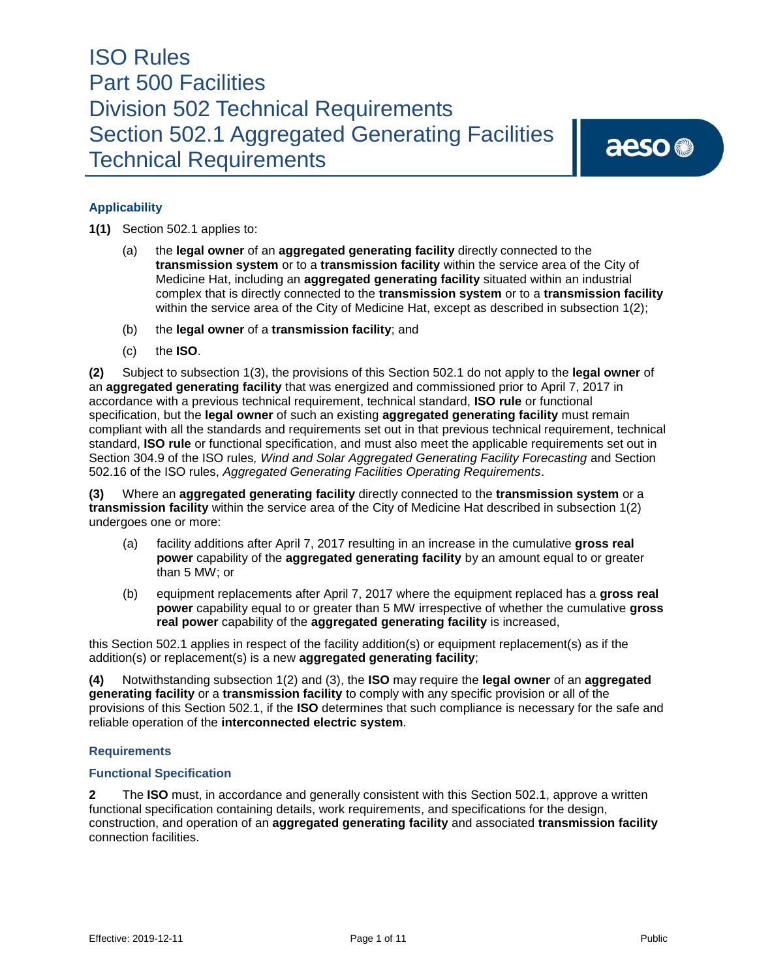aeso<sup>®</sup>

## **Applicability**

**1(1)** Section 502.1 applies to:

- (a) the **legal owner** of an **aggregated generating facility** directly connected to the **transmission system** or to a **transmission facility** within the service area of the City of Medicine Hat, including an **aggregated generating facility** situated within an industrial complex that is directly connected to the **transmission system** or to a **transmission facility**  within the service area of the City of Medicine Hat, except as described in subsection 1(2);
- (b) the **legal owner** of a **transmission facility**; and
- (c) the **ISO**.

**(2)** Subject to subsection 1(3), the provisions of this Section 502.1 do not apply to the **legal owner** of an **aggregated generating facility** that was energized and commissioned prior to April 7, 2017 in accordance with a previous technical requirement, technical standard, **ISO rule** or functional specification, but the **legal owner** of such an existing **aggregated generating facility** must remain compliant with all the standards and requirements set out in that previous technical requirement, technical standard, **ISO rule** or functional specification, and must also meet the applicable requirements set out in Section 304.9 of the ISO rules*, Wind and Solar Aggregated Generating Facility Forecasting* and Section 502.16 of the ISO rules, *Aggregated Generating Facilities Operating Requirements*.

**(3)** Where an **aggregated generating facility** directly connected to the **transmission system** or a **transmission facility** within the service area of the City of Medicine Hat described in subsection 1(2) undergoes one or more:

- (a) facility additions after April 7, 2017 resulting in an increase in the cumulative **gross real power** capability of the **aggregated generating facility** by an amount equal to or greater than 5 MW; or
- (b) equipment replacements after April 7, 2017 where the equipment replaced has a **gross real power** capability equal to or greater than 5 MW irrespective of whether the cumulative **gross real power** capability of the **aggregated generating facility** is increased,

this Section 502.1 applies in respect of the facility addition(s) or equipment replacement(s) as if the addition(s) or replacement(s) is a new **aggregated generating facility**;

**(4)** Notwithstanding subsection 1(2) and (3), the **ISO** may require the **legal owner** of an **aggregated generating facility** or a **transmission facility** to comply with any specific provision or all of the provisions of this Section 502.1, if the **ISO** determines that such compliance is necessary for the safe and reliable operation of the **interconnected electric system**.

#### **Requirements**

#### **Functional Specification**

**2** The **ISO** must, in accordance and generally consistent with this Section 502.1, approve a written functional specification containing details, work requirements, and specifications for the design, construction, and operation of an **aggregated generating facility** and associated **transmission facility**  connection facilities.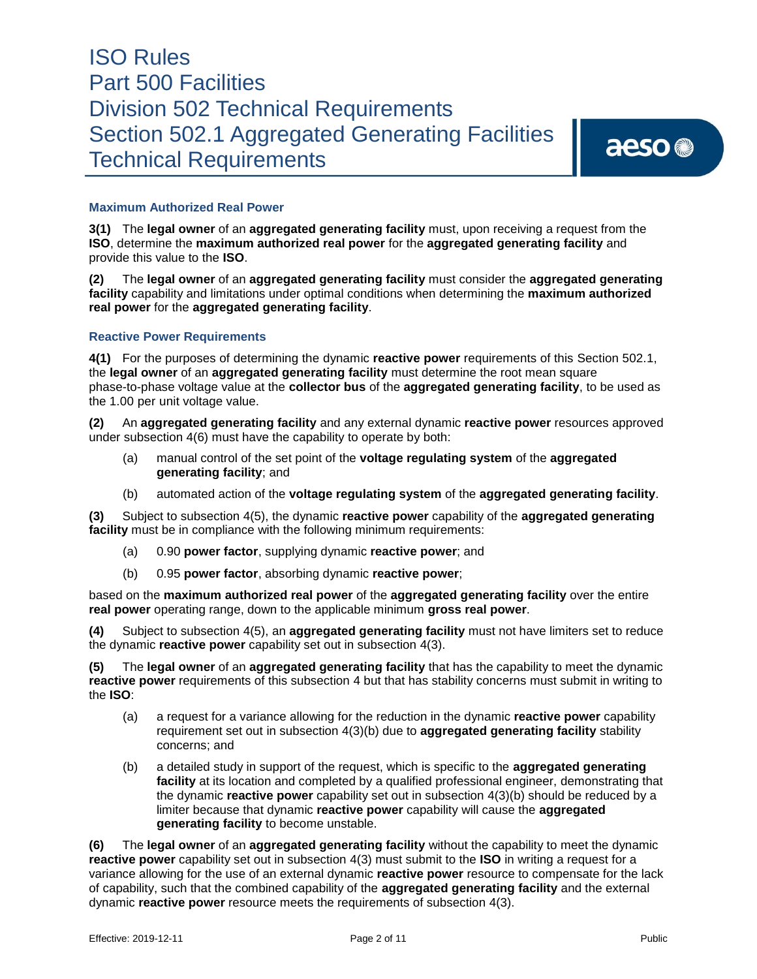aeso<sup>®</sup>

### **Maximum Authorized Real Power**

**3(1)** The **legal owner** of an **aggregated generating facility** must, upon receiving a request from the **ISO**, determine the **maximum authorized real power** for the **aggregated generating facility** and provide this value to the **ISO**.

**(2)** The **legal owner** of an **aggregated generating facility** must consider the **aggregated generating facility** capability and limitations under optimal conditions when determining the **maximum authorized real power** for the **aggregated generating facility**.

#### **Reactive Power Requirements**

**4(1)** For the purposes of determining the dynamic **reactive power** requirements of this Section 502.1, the **legal owner** of an **aggregated generating facility** must determine the root mean square phase-to-phase voltage value at the **collector bus** of the **aggregated generating facility**, to be used as the 1.00 per unit voltage value.

**(2)** An **aggregated generating facility** and any external dynamic **reactive power** resources approved under subsection 4(6) must have the capability to operate by both:

- (a) manual control of the set point of the **voltage regulating system** of the **aggregated generating facility**; and
- (b) automated action of the **voltage regulating system** of the **aggregated generating facility**.

**(3)** Subject to subsection 4(5), the dynamic **reactive power** capability of the **aggregated generating facility** must be in compliance with the following minimum requirements:

- (a) 0.90 **power factor**, supplying dynamic **reactive power**; and
- (b) 0.95 **power factor**, absorbing dynamic **reactive power**;

based on the **maximum authorized real power** of the **aggregated generating facility** over the entire **real power** operating range, down to the applicable minimum **gross real power**.

**(4)** Subject to subsection 4(5), an **aggregated generating facility** must not have limiters set to reduce the dynamic **reactive power** capability set out in subsection 4(3).

**(5)** The **legal owner** of an **aggregated generating facility** that has the capability to meet the dynamic **reactive power** requirements of this subsection 4 but that has stability concerns must submit in writing to the **ISO**:

- (a) a request for a variance allowing for the reduction in the dynamic **reactive power** capability requirement set out in subsection 4(3)(b) due to **aggregated generating facility** stability concerns; and
- (b) a detailed study in support of the request, which is specific to the **aggregated generating facility** at its location and completed by a qualified professional engineer, demonstrating that the dynamic **reactive power** capability set out in subsection 4(3)(b) should be reduced by a limiter because that dynamic **reactive power** capability will cause the **aggregated generating facility** to become unstable.

**(6)** The **legal owner** of an **aggregated generating facility** without the capability to meet the dynamic **reactive power** capability set out in subsection 4(3) must submit to the **ISO** in writing a request for a variance allowing for the use of an external dynamic **reactive power** resource to compensate for the lack of capability, such that the combined capability of the **aggregated generating facility** and the external dynamic **reactive power** resource meets the requirements of subsection 4(3).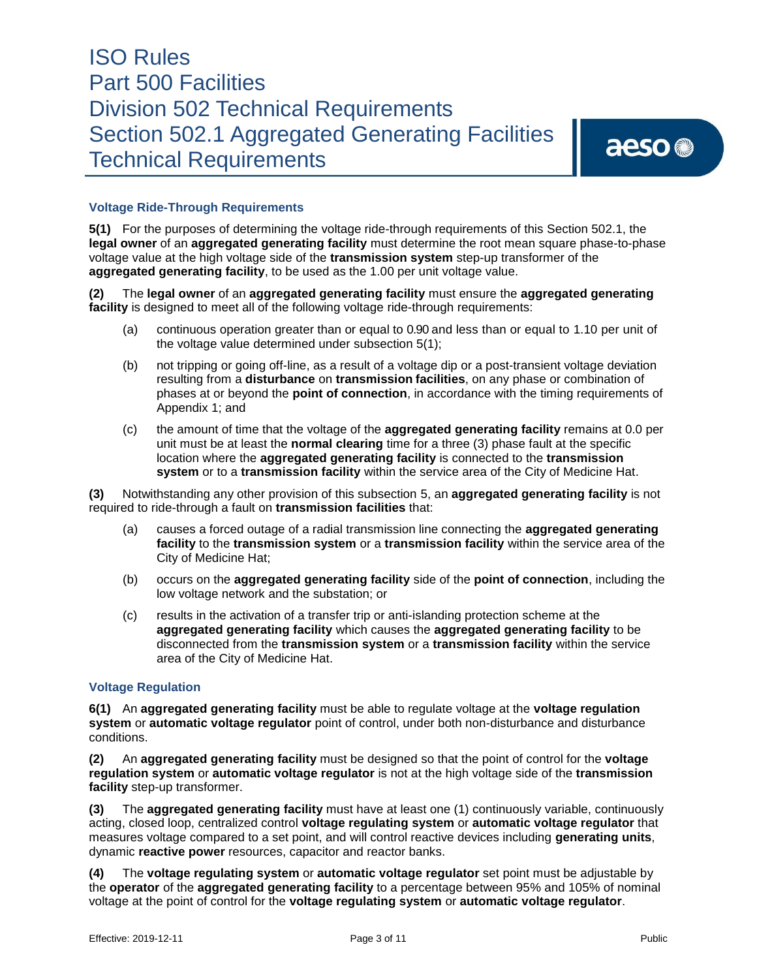aeso<sup>®</sup>

### **Voltage Ride-Through Requirements**

**5(1)** For the purposes of determining the voltage ride-through requirements of this Section 502.1, the **legal owner** of an **aggregated generating facility** must determine the root mean square phase-to-phase voltage value at the high voltage side of the **transmission system** step-up transformer of the **aggregated generating facility**, to be used as the 1.00 per unit voltage value.

**(2)** The **legal owner** of an **aggregated generating facility** must ensure the **aggregated generating facility** is designed to meet all of the following voltage ride-through requirements:

- (a) continuous operation greater than or equal to 0.90 and less than or equal to 1.10 per unit of the voltage value determined under subsection 5(1);
- (b) not tripping or going off-line, as a result of a voltage dip or a post-transient voltage deviation resulting from a **disturbance** on **transmission facilities**, on any phase or combination of phases at or beyond the **point of connection**, in accordance with the timing requirements of Appendix 1; and
- (c) the amount of time that the voltage of the **aggregated generating facility** remains at 0.0 per unit must be at least the **normal clearing** time for a three (3) phase fault at the specific location where the **aggregated generating facility** is connected to the **transmission system** or to a **transmission facility** within the service area of the City of Medicine Hat.

**(3)** Notwithstanding any other provision of this subsection 5, an **aggregated generating facility** is not required to ride-through a fault on **transmission facilities** that:

- (a) causes a forced outage of a radial transmission line connecting the **aggregated generating facility** to the **transmission system** or a **transmission facility** within the service area of the City of Medicine Hat;
- (b) occurs on the **aggregated generating facility** side of the **point of connection**, including the low voltage network and the substation; or
- (c) results in the activation of a transfer trip or anti-islanding protection scheme at the **aggregated generating facility** which causes the **aggregated generating facility** to be disconnected from the **transmission system** or a **transmission facility** within the service area of the City of Medicine Hat.

#### **Voltage Regulation**

**6(1)** An **aggregated generating facility** must be able to regulate voltage at the **voltage regulation system** or **automatic voltage regulator** point of control, under both non-disturbance and disturbance conditions.

**(2)** An **aggregated generating facility** must be designed so that the point of control for the **voltage regulation system** or **automatic voltage regulator** is not at the high voltage side of the **transmission facility** step-up transformer.

**(3)** The **aggregated generating facility** must have at least one (1) continuously variable, continuously acting, closed loop, centralized control **voltage regulating system** or **automatic voltage regulator** that measures voltage compared to a set point, and will control reactive devices including **generating units**, dynamic **reactive power** resources, capacitor and reactor banks.

**(4)** The **voltage regulating system** or **automatic voltage regulator** set point must be adjustable by the **operator** of the **aggregated generating facility** to a percentage between 95% and 105% of nominal voltage at the point of control for the **voltage regulating system** or **automatic voltage regulator**.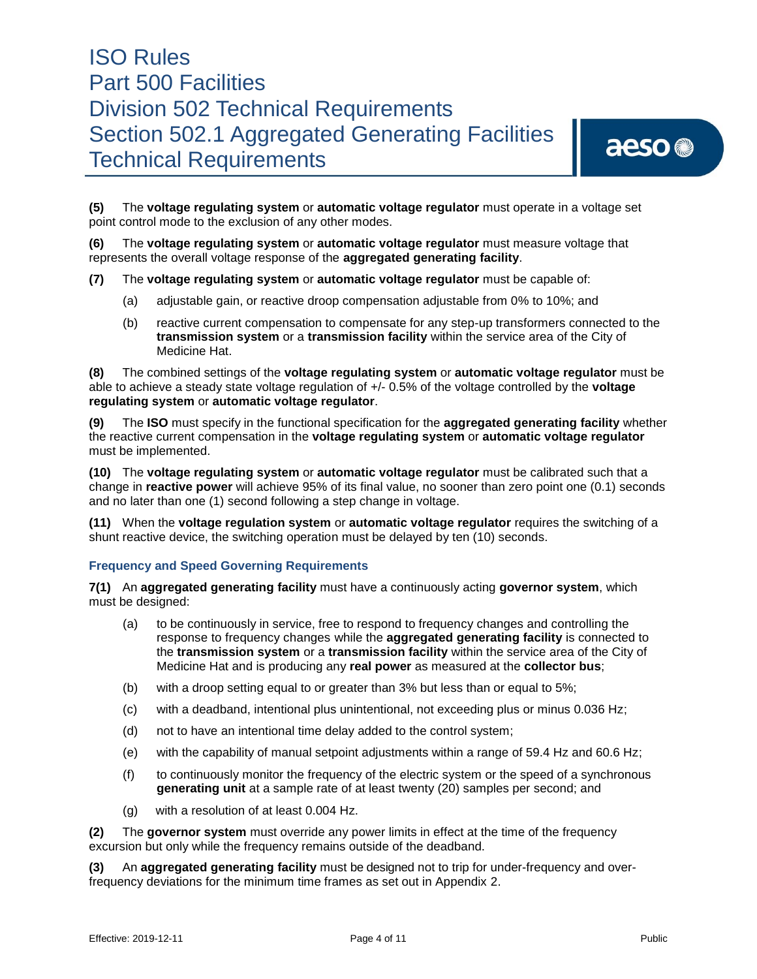# aeso<sup>®</sup>

**(5)** The **voltage regulating system** or **automatic voltage regulator** must operate in a voltage set point control mode to the exclusion of any other modes.

**(6)** The **voltage regulating system** or **automatic voltage regulator** must measure voltage that represents the overall voltage response of the **aggregated generating facility**.

- **(7)** The **voltage regulating system** or **automatic voltage regulator** must be capable of:
	- (a) adjustable gain, or reactive droop compensation adjustable from 0% to 10%; and
	- (b) reactive current compensation to compensate for any step-up transformers connected to the **transmission system** or a **transmission facility** within the service area of the City of Medicine Hat.

**(8)** The combined settings of the **voltage regulating system** or **automatic voltage regulator** must be able to achieve a steady state voltage regulation of +/- 0.5% of the voltage controlled by the **voltage regulating system** or **automatic voltage regulator**.

**(9)** The **ISO** must specify in the functional specification for the **aggregated generating facility** whether the reactive current compensation in the **voltage regulating system** or **automatic voltage regulator** must be implemented.

**(10)** The **voltage regulating system** or **automatic voltage regulator** must be calibrated such that a change in **reactive power** will achieve 95% of its final value, no sooner than zero point one (0.1) seconds and no later than one (1) second following a step change in voltage.

**(11)** When the **voltage regulation system** or **automatic voltage regulator** requires the switching of a shunt reactive device, the switching operation must be delayed by ten (10) seconds.

#### **Frequency and Speed Governing Requirements**

**7(1)** An **aggregated generating facility** must have a continuously acting **governor system**, which must be designed:

- (a) to be continuously in service, free to respond to frequency changes and controlling the response to frequency changes while the **aggregated generating facility** is connected to the **transmission system** or a **transmission facility** within the service area of the City of Medicine Hat and is producing any **real power** as measured at the **collector bus**;
- (b) with a droop setting equal to or greater than 3% but less than or equal to 5%;
- (c) with a deadband, intentional plus unintentional, not exceeding plus or minus 0.036 Hz;
- (d) not to have an intentional time delay added to the control system;
- (e) with the capability of manual setpoint adjustments within a range of 59.4 Hz and 60.6 Hz;
- (f) to continuously monitor the frequency of the electric system or the speed of a synchronous **generating unit** at a sample rate of at least twenty (20) samples per second; and
- (g) with a resolution of at least 0.004 Hz.

**(2)** The **governor system** must override any power limits in effect at the time of the frequency excursion but only while the frequency remains outside of the deadband.

**(3)** An **aggregated generating facility** must be designed not to trip for under-frequency and overfrequency deviations for the minimum time frames as set out in Appendix 2.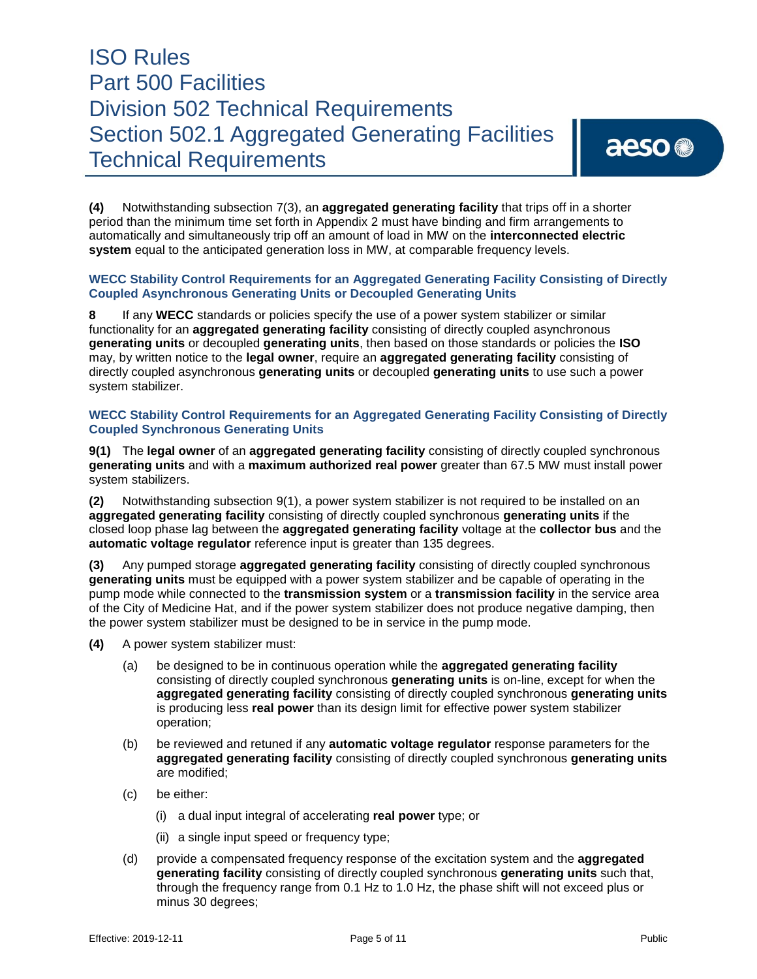# aeso<sup>®</sup>

**(4)** Notwithstanding subsection 7(3), an **aggregated generating facility** that trips off in a shorter period than the minimum time set forth in Appendix 2 must have binding and firm arrangements to automatically and simultaneously trip off an amount of load in MW on the **interconnected electric system** equal to the anticipated generation loss in MW, at comparable frequency levels.

#### **WECC Stability Control Requirements for an Aggregated Generating Facility Consisting of Directly Coupled Asynchronous Generating Units or Decoupled Generating Units**

**8** If any **WECC** standards or policies specify the use of a power system stabilizer or similar functionality for an **aggregated generating facility** consisting of directly coupled asynchronous **generating units** or decoupled **generating units**, then based on those standards or policies the **ISO** may, by written notice to the **legal owner**, require an **aggregated generating facility** consisting of directly coupled asynchronous **generating units** or decoupled **generating units** to use such a power system stabilizer.

### **WECC Stability Control Requirements for an Aggregated Generating Facility Consisting of Directly Coupled Synchronous Generating Units**

**9(1)** The **legal owner** of an **aggregated generating facility** consisting of directly coupled synchronous **generating units** and with a **maximum authorized real power** greater than 67.5 MW must install power system stabilizers.

**(2)** Notwithstanding subsection 9(1), a power system stabilizer is not required to be installed on an **aggregated generating facility** consisting of directly coupled synchronous **generating units** if the closed loop phase lag between the **aggregated generating facility** voltage at the **collector bus** and the **automatic voltage regulator** reference input is greater than 135 degrees.

**(3)** Any pumped storage **aggregated generating facility** consisting of directly coupled synchronous **generating units** must be equipped with a power system stabilizer and be capable of operating in the pump mode while connected to the **transmission system** or a **transmission facility** in the service area of the City of Medicine Hat, and if the power system stabilizer does not produce negative damping, then the power system stabilizer must be designed to be in service in the pump mode.

- **(4)** A power system stabilizer must:
	- (a) be designed to be in continuous operation while the **aggregated generating facility** consisting of directly coupled synchronous **generating units** is on-line, except for when the **aggregated generating facility** consisting of directly coupled synchronous **generating units** is producing less **real power** than its design limit for effective power system stabilizer operation;
	- (b) be reviewed and retuned if any **automatic voltage regulator** response parameters for the **aggregated generating facility** consisting of directly coupled synchronous **generating units** are modified;
	- (c) be either:
		- (i) a dual input integral of accelerating **real power** type; or
		- (ii) a single input speed or frequency type;
	- (d) provide a compensated frequency response of the excitation system and the **aggregated generating facility** consisting of directly coupled synchronous **generating units** such that, through the frequency range from 0.1 Hz to 1.0 Hz, the phase shift will not exceed plus or minus 30 degrees;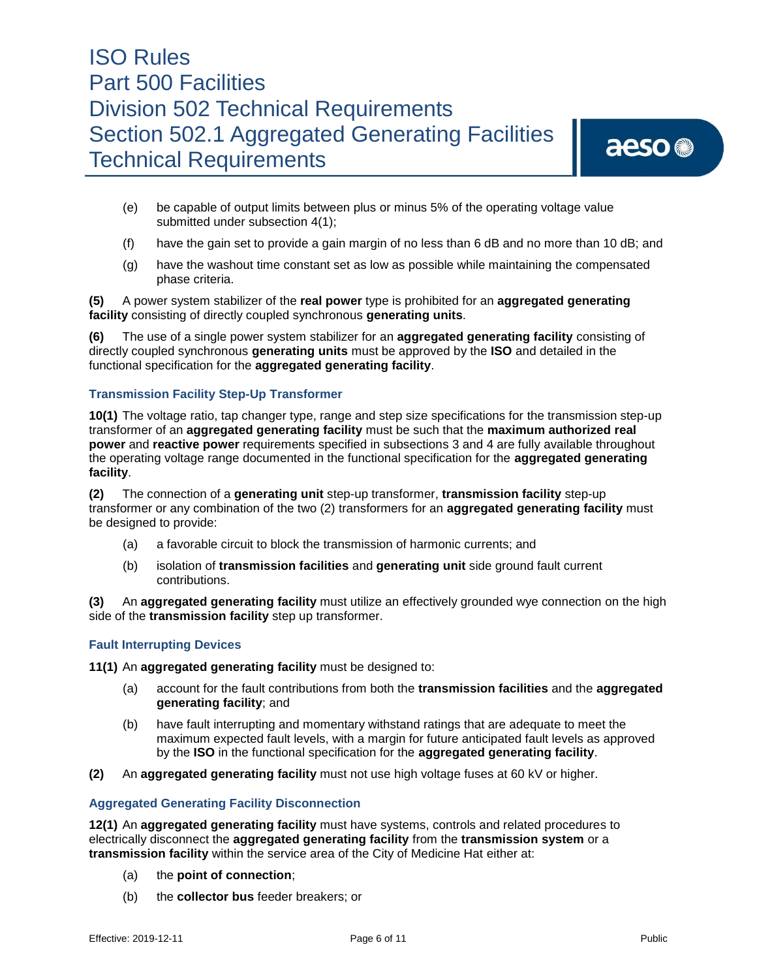# aeso<sup>®</sup>

- (e) be capable of output limits between plus or minus 5% of the operating voltage value submitted under subsection 4(1);
- (f) have the gain set to provide a gain margin of no less than 6 dB and no more than 10 dB; and
- (g) have the washout time constant set as low as possible while maintaining the compensated phase criteria.

**(5)** A power system stabilizer of the **real power** type is prohibited for an **aggregated generating facility** consisting of directly coupled synchronous **generating units**.

**(6)** The use of a single power system stabilizer for an **aggregated generating facility** consisting of directly coupled synchronous **generating units** must be approved by the **ISO** and detailed in the functional specification for the **aggregated generating facility**.

### **Transmission Facility Step-Up Transformer**

**10(1)** The voltage ratio, tap changer type, range and step size specifications for the transmission step-up transformer of an **aggregated generating facility** must be such that the **maximum authorized real power** and **reactive power** requirements specified in subsections 3 and 4 are fully available throughout the operating voltage range documented in the functional specification for the **aggregated generating facility**.

**(2)** The connection of a **generating unit** step-up transformer, **transmission facility** step-up transformer or any combination of the two (2) transformers for an **aggregated generating facility** must be designed to provide:

- (a) a favorable circuit to block the transmission of harmonic currents; and
- (b) isolation of **transmission facilities** and **generating unit** side ground fault current contributions.

**(3)** An **aggregated generating facility** must utilize an effectively grounded wye connection on the high side of the **transmission facility** step up transformer.

#### **Fault Interrupting Devices**

**11(1)** An **aggregated generating facility** must be designed to:

- (a) account for the fault contributions from both the **transmission facilities** and the **aggregated generating facility**; and
- (b) have fault interrupting and momentary withstand ratings that are adequate to meet the maximum expected fault levels, with a margin for future anticipated fault levels as approved by the **ISO** in the functional specification for the **aggregated generating facility**.
- **(2)** An **aggregated generating facility** must not use high voltage fuses at 60 kV or higher.

#### **Aggregated Generating Facility Disconnection**

**12(1)** An **aggregated generating facility** must have systems, controls and related procedures to electrically disconnect the **aggregated generating facility** from the **transmission system** or a **transmission facility** within the service area of the City of Medicine Hat either at:

- (a) the **point of connection**;
- (b) the **collector bus** feeder breakers; or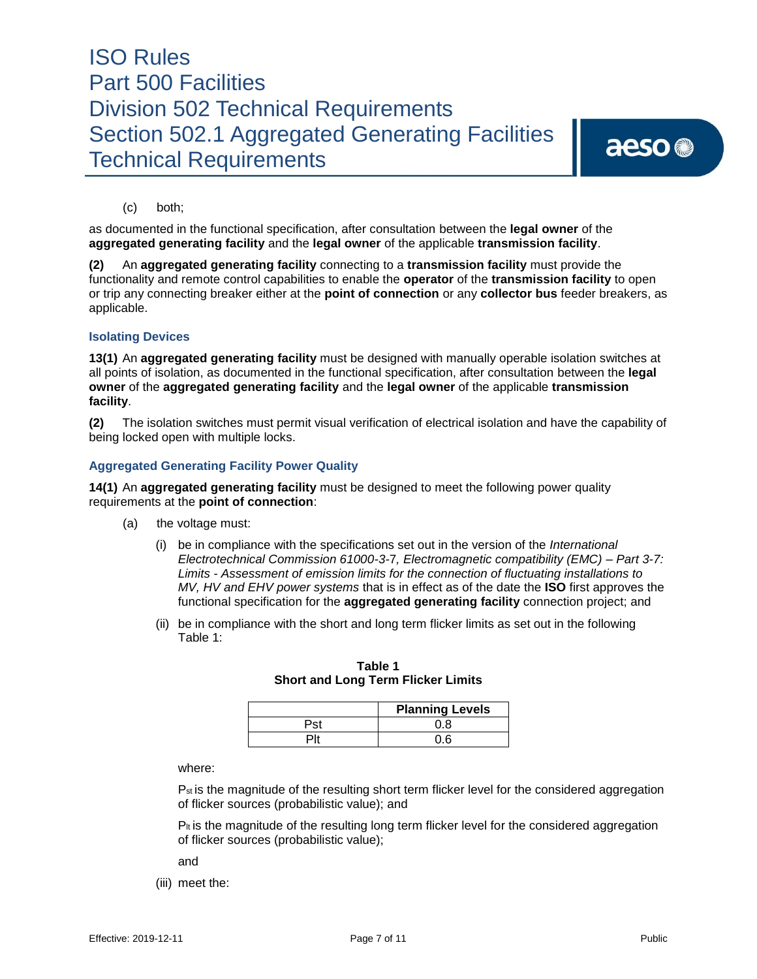# aeso<sup>®</sup>

(c) both;

as documented in the functional specification, after consultation between the **legal owner** of the **aggregated generating facility** and the **legal owner** of the applicable **transmission facility**.

**(2)** An **aggregated generating facility** connecting to a **transmission facility** must provide the functionality and remote control capabilities to enable the **operator** of the **transmission facility** to open or trip any connecting breaker either at the **point of connection** or any **collector bus** feeder breakers, as applicable.

### **Isolating Devices**

**13(1)** An **aggregated generating facility** must be designed with manually operable isolation switches at all points of isolation, as documented in the functional specification, after consultation between the **legal owner** of the **aggregated generating facility** and the **legal owner** of the applicable **transmission facility**.

**(2)** The isolation switches must permit visual verification of electrical isolation and have the capability of being locked open with multiple locks.

### **Aggregated Generating Facility Power Quality**

**14(1)** An **aggregated generating facility** must be designed to meet the following power quality requirements at the **point of connection**:

- (a) the voltage must:
	- (i) be in compliance with the specifications set out in the version of the *International Electrotechnical Commission 61000-3-*7*, Electromagnetic compatibility (EMC) – Part 3-7: Limits - Assessment of emission limits for the connection of fluctuating installations to MV, HV and EHV power systems* that is in effect as of the date the **ISO** first approves the functional specification for the **aggregated generating facility** connection project; and
	- (ii) be in compliance with the short and long term flicker limits as set out in the following Table 1:

|  | <b>Planning Levels</b> |  |  |
|--|------------------------|--|--|
|  |                        |  |  |
|  |                        |  |  |

**Table 1 Short and Long Term Flicker Limits** 

where:

P<sub>st</sub> is the magnitude of the resulting short term flicker level for the considered aggregation of flicker sources (probabilistic value); and

 $P_{\text{It}}$  is the magnitude of the resulting long term flicker level for the considered aggregation of flicker sources (probabilistic value);

and

(iii) meet the: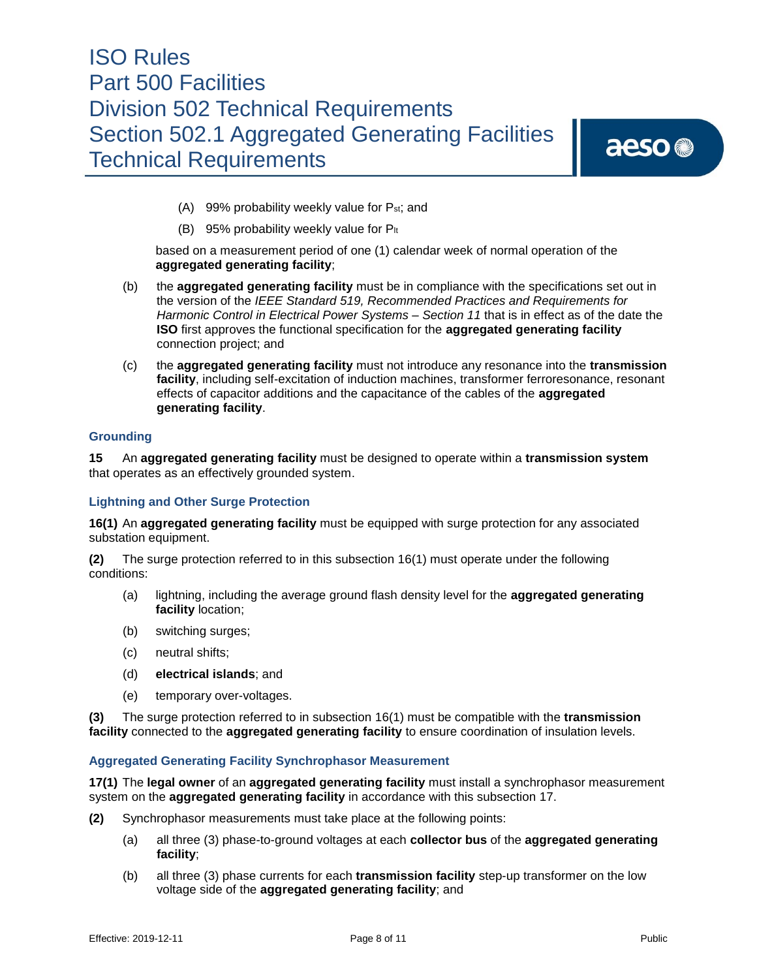aeso<sup>®</sup>

- (A) 99% probability weekly value for Pst; and
- (B) 95% probability weekly value for  $P_{lt}$

based on a measurement period of one (1) calendar week of normal operation of the **aggregated generating facility**;

- (b) the **aggregated generating facility** must be in compliance with the specifications set out in the version of the *IEEE Standard 519, Recommended Practices and Requirements for Harmonic Control in Electrical Power Systems – Section 11* that is in effect as of the date the **ISO** first approves the functional specification for the **aggregated generating facility** connection project; and
- (c) the **aggregated generating facility** must not introduce any resonance into the **transmission facility**, including self-excitation of induction machines, transformer ferroresonance, resonant effects of capacitor additions and the capacitance of the cables of the **aggregated generating facility**.

### **Grounding**

**15** An **aggregated generating facility** must be designed to operate within a **transmission system**  that operates as an effectively grounded system.

#### **Lightning and Other Surge Protection**

**16(1)** An **aggregated generating facility** must be equipped with surge protection for any associated substation equipment.

**(2)** The surge protection referred to in this subsection 16(1) must operate under the following conditions:

- (a) lightning, including the average ground flash density level for the **aggregated generating facility** location;
- (b) switching surges;
- (c) neutral shifts;
- (d) **electrical islands**; and
- (e) temporary over-voltages.

**(3)** The surge protection referred to in subsection 16(1) must be compatible with the **transmission facility** connected to the **aggregated generating facility** to ensure coordination of insulation levels.

#### **Aggregated Generating Facility Synchrophasor Measurement**

**17(1)** The **legal owner** of an **aggregated generating facility** must install a synchrophasor measurement system on the **aggregated generating facility** in accordance with this subsection 17.

- **(2)** Synchrophasor measurements must take place at the following points:
	- (a) all three (3) phase-to-ground voltages at each **collector bus** of the **aggregated generating facility**;
	- (b) all three (3) phase currents for each **transmission facility** step-up transformer on the low voltage side of the **aggregated generating facility**; and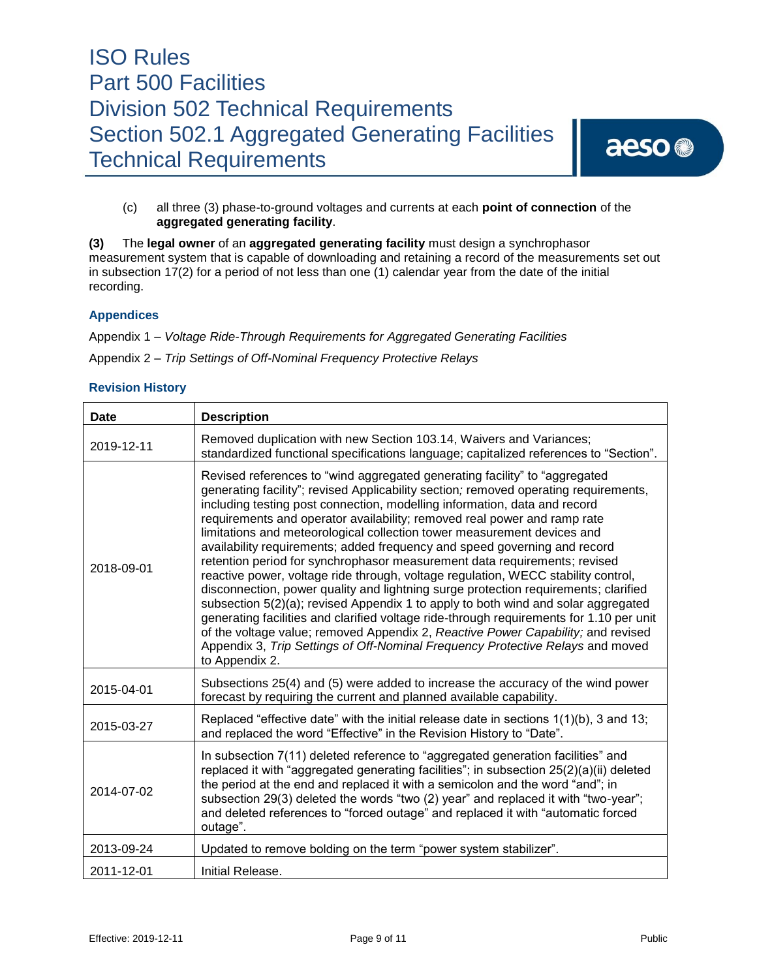# aeso<sup>®</sup>

(c) all three (3) phase-to-ground voltages and currents at each **point of connection** of the **aggregated generating facility**.

**(3)** The **legal owner** of an **aggregated generating facility** must design a synchrophasor measurement system that is capable of downloading and retaining a record of the measurements set out in subsection 17(2) for a period of not less than one (1) calendar year from the date of the initial recording.

### **Appendices**

Appendix 1 – *Voltage Ride-Through Requirements for Aggregated Generating Facilities*

Appendix 2 – *Trip Settings of Off-Nominal Frequency Protective Relays*

### **Revision History**

| <b>Date</b> | <b>Description</b>                                                                                                                                                                                                                                                                                                                                                                                                                                                                                                                                                                                                                                                                                                                                                                                                                                                                                                                                                                                                                                                                                                   |
|-------------|----------------------------------------------------------------------------------------------------------------------------------------------------------------------------------------------------------------------------------------------------------------------------------------------------------------------------------------------------------------------------------------------------------------------------------------------------------------------------------------------------------------------------------------------------------------------------------------------------------------------------------------------------------------------------------------------------------------------------------------------------------------------------------------------------------------------------------------------------------------------------------------------------------------------------------------------------------------------------------------------------------------------------------------------------------------------------------------------------------------------|
| 2019-12-11  | Removed duplication with new Section 103.14, Waivers and Variances;<br>standardized functional specifications language; capitalized references to "Section".                                                                                                                                                                                                                                                                                                                                                                                                                                                                                                                                                                                                                                                                                                                                                                                                                                                                                                                                                         |
| 2018-09-01  | Revised references to "wind aggregated generating facility" to "aggregated<br>generating facility"; revised Applicability section; removed operating requirements,<br>including testing post connection, modelling information, data and record<br>requirements and operator availability; removed real power and ramp rate<br>limitations and meteorological collection tower measurement devices and<br>availability requirements; added frequency and speed governing and record<br>retention period for synchrophasor measurement data requirements; revised<br>reactive power, voltage ride through, voltage regulation, WECC stability control,<br>disconnection, power quality and lightning surge protection requirements; clarified<br>subsection 5(2)(a); revised Appendix 1 to apply to both wind and solar aggregated<br>generating facilities and clarified voltage ride-through requirements for 1.10 per unit<br>of the voltage value; removed Appendix 2, Reactive Power Capability; and revised<br>Appendix 3, Trip Settings of Off-Nominal Frequency Protective Relays and moved<br>to Appendix 2. |
| 2015-04-01  | Subsections 25(4) and (5) were added to increase the accuracy of the wind power<br>forecast by requiring the current and planned available capability.                                                                                                                                                                                                                                                                                                                                                                                                                                                                                                                                                                                                                                                                                                                                                                                                                                                                                                                                                               |
| 2015-03-27  | Replaced "effective date" with the initial release date in sections $1(1)(b)$ , 3 and 13;<br>and replaced the word "Effective" in the Revision History to "Date".                                                                                                                                                                                                                                                                                                                                                                                                                                                                                                                                                                                                                                                                                                                                                                                                                                                                                                                                                    |
| 2014-07-02  | In subsection 7(11) deleted reference to "aggregated generation facilities" and<br>replaced it with "aggregated generating facilities"; in subsection 25(2)(a)(ii) deleted<br>the period at the end and replaced it with a semicolon and the word "and"; in<br>subsection 29(3) deleted the words "two (2) year" and replaced it with "two-year";<br>and deleted references to "forced outage" and replaced it with "automatic forced<br>outage".                                                                                                                                                                                                                                                                                                                                                                                                                                                                                                                                                                                                                                                                    |
| 2013-09-24  | Updated to remove bolding on the term "power system stabilizer".                                                                                                                                                                                                                                                                                                                                                                                                                                                                                                                                                                                                                                                                                                                                                                                                                                                                                                                                                                                                                                                     |
| 2011-12-01  | Initial Release.                                                                                                                                                                                                                                                                                                                                                                                                                                                                                                                                                                                                                                                                                                                                                                                                                                                                                                                                                                                                                                                                                                     |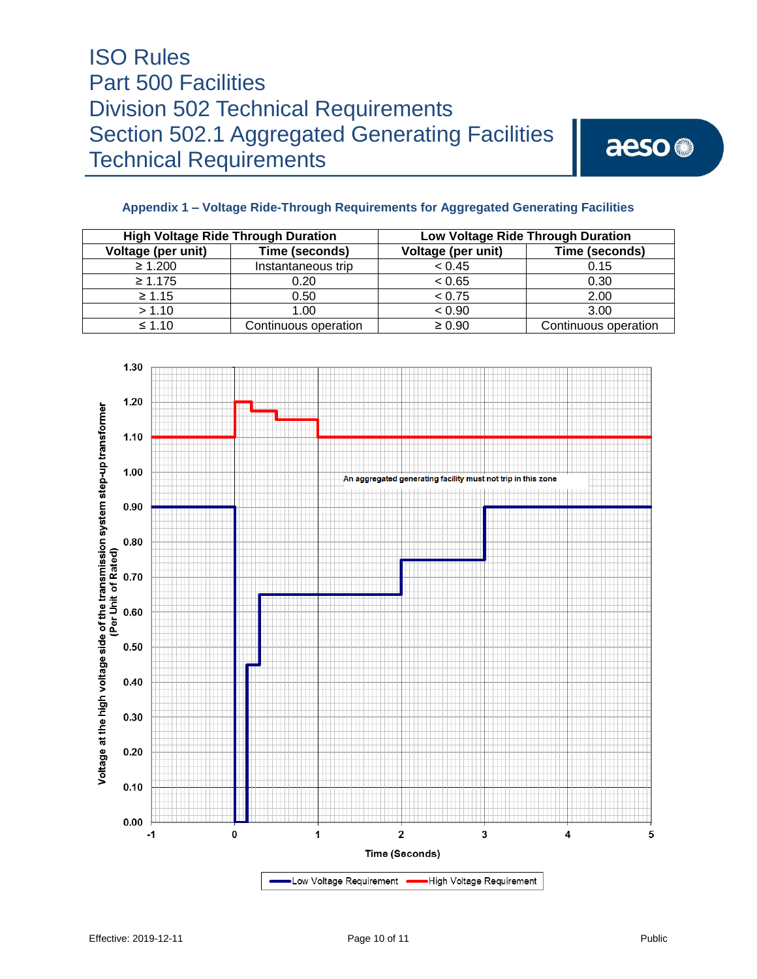aeso<sup>®</sup>

### **Appendix 1 – Voltage Ride-Through Requirements for Aggregated Generating Facilities**

| <b>High Voltage Ride Through Duration</b> |                      | Low Voltage Ride Through Duration |                      |  |
|-------------------------------------------|----------------------|-----------------------------------|----------------------|--|
| Voltage (per unit)                        | Time (seconds)       | Voltage (per unit)                | Time (seconds)       |  |
| $\geq 1.200$                              | Instantaneous trip   | < 0.45                            | 0.15                 |  |
| $\geq 1.175$                              | 0.20                 | < 0.65                            | 0.30                 |  |
| $\geq 1.15$                               | 0.50                 | < 0.75                            | 2.00                 |  |
| > 1.10                                    | 1.00                 | < 0.90                            | 3.00                 |  |
| $\leq 1.10$                               | Continuous operation | $\geq 0.90$                       | Continuous operation |  |